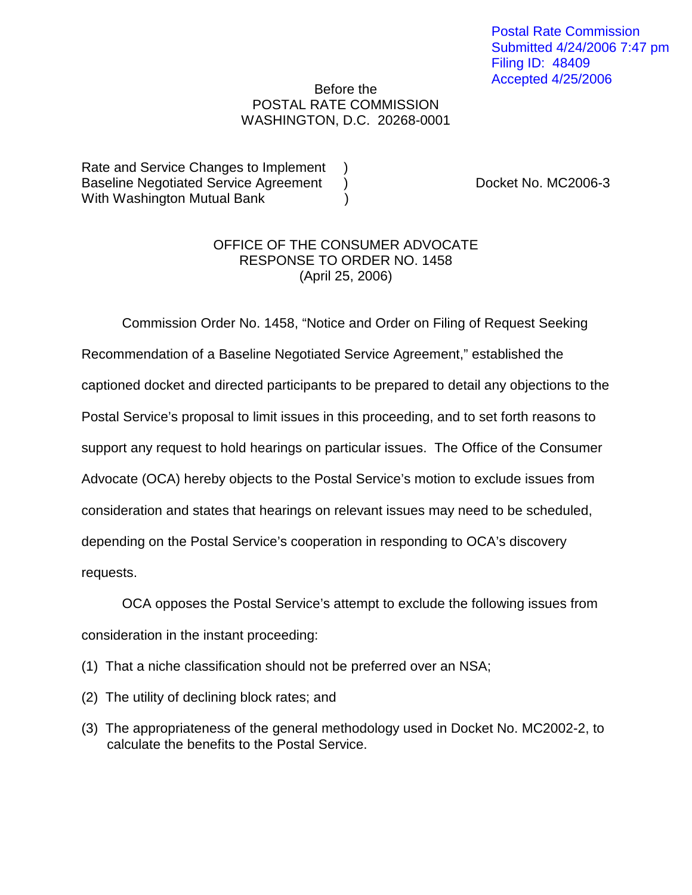## Before the POSTAL RATE COMMISSION WASHINGTON, D.C. 20268-0001

Rate and Service Changes to Implement ) Baseline Negotiated Service Agreement ) Docket No. MC2006-3 With Washington Mutual Bank (1998)

## OFFICE OF THE CONSUMER ADVOCATE RESPONSE TO ORDER NO. 1458 (April 25, 2006)

Commission Order No. 1458, "Notice and Order on Filing of Request Seeking Recommendation of a Baseline Negotiated Service Agreement," established the captioned docket and directed participants to be prepared to detail any objections to the Postal Service's proposal to limit issues in this proceeding, and to set forth reasons to support any request to hold hearings on particular issues. The Office of the Consumer Advocate (OCA) hereby objects to the Postal Service's motion to exclude issues from consideration and states that hearings on relevant issues may need to be scheduled, depending on the Postal Service's cooperation in responding to OCA's discovery requests.

OCA opposes the Postal Service's attempt to exclude the following issues from consideration in the instant proceeding:

- (1) That a niche classification should not be preferred over an NSA;
- (2) The utility of declining block rates; and
- (3) The appropriateness of the general methodology used in Docket No. MC2002-2, to calculate the benefits to the Postal Service.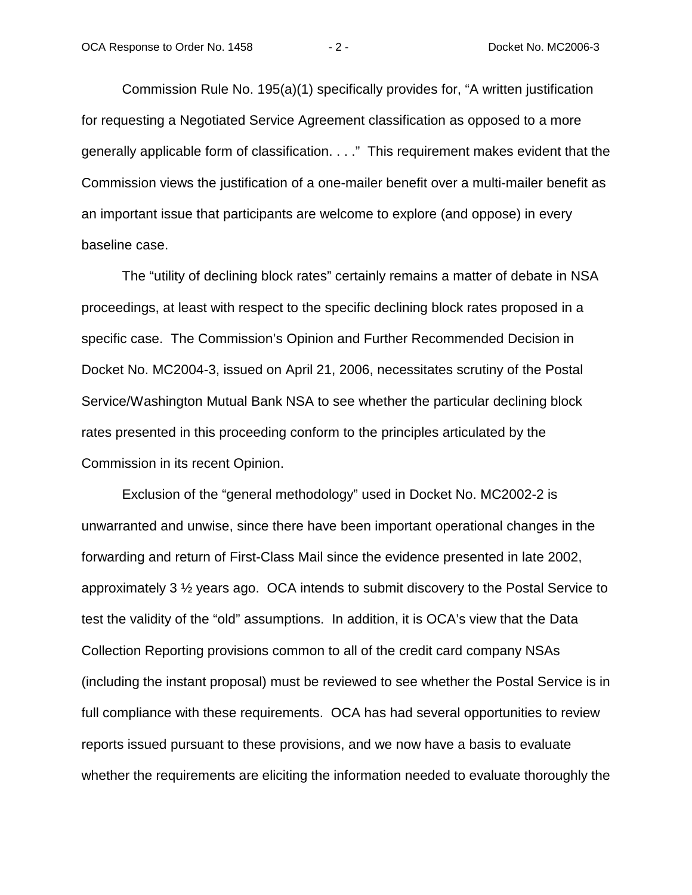Commission Rule No. 195(a)(1) specifically provides for, "A written justification for requesting a Negotiated Service Agreement classification as opposed to a more generally applicable form of classification. . . ." This requirement makes evident that the Commission views the justification of a one-mailer benefit over a multi-mailer benefit as an important issue that participants are welcome to explore (and oppose) in every baseline case.

 The "utility of declining block rates" certainly remains a matter of debate in NSA proceedings, at least with respect to the specific declining block rates proposed in a specific case. The Commission's Opinion and Further Recommended Decision in Docket No. MC2004-3, issued on April 21, 2006, necessitates scrutiny of the Postal Service/Washington Mutual Bank NSA to see whether the particular declining block rates presented in this proceeding conform to the principles articulated by the Commission in its recent Opinion.

 Exclusion of the "general methodology" used in Docket No. MC2002-2 is unwarranted and unwise, since there have been important operational changes in the forwarding and return of First-Class Mail since the evidence presented in late 2002, approximately 3 ½ years ago. OCA intends to submit discovery to the Postal Service to test the validity of the "old" assumptions. In addition, it is OCA's view that the Data Collection Reporting provisions common to all of the credit card company NSAs (including the instant proposal) must be reviewed to see whether the Postal Service is in full compliance with these requirements. OCA has had several opportunities to review reports issued pursuant to these provisions, and we now have a basis to evaluate whether the requirements are eliciting the information needed to evaluate thoroughly the